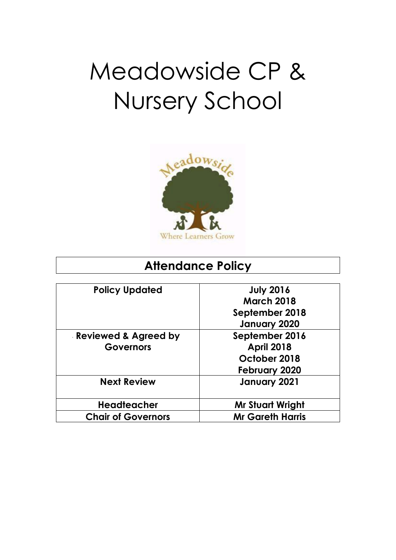# Meadowside CP & Nursery School



# **Attendance Policy**

| <b>Policy Updated</b>     | <b>July 2016</b>        |
|---------------------------|-------------------------|
|                           | <b>March 2018</b>       |
|                           | September 2018          |
|                           | January 2020            |
| Reviewed & Agreed by      | September 2016          |
| <b>Governors</b>          | <b>April 2018</b>       |
|                           | October 2018            |
|                           | <b>February 2020</b>    |
| <b>Next Review</b>        | January 2021            |
| <b>Headteacher</b>        | <b>Mr Stuart Wright</b> |
| <b>Chair of Governors</b> | <b>Mr Gareth Harris</b> |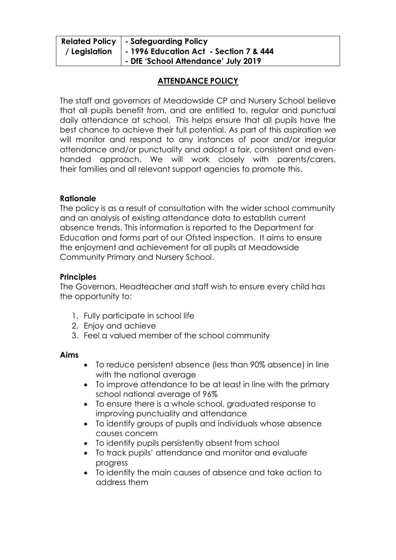|               | Related Policy   - Safeguarding Policy         |
|---------------|------------------------------------------------|
| / Legislation | $\vert$ - 1996 Education Act - Section 7 & 444 |
|               | - DfE 'School Attendance' July 2019            |

# **ATTENDANCE POLICY**

The staff and governors of Meadowside CP and Nursery School believe that all pupils benefit from, and are entitled to, regular and punctual daily attendance at school. This helps ensure that all pupils have the best chance to achieve their full potential. As part of this aspiration we will monitor and respond to any instances of poor and/or irregular attendance and/or punctuality and adopt a fair, consistent and evenhanded approach. We will work closely with parents/carers, their families and all relevant support agencies to promote this.

#### **Rationale**

The policy is as a result of consultation with the wider school community and an analysis of existing attendance data to establish current absence trends. This information is reported to the Department for Education and forms part of our Ofsted inspection. It aims to ensure the enjoyment and achievement for all pupils at Meadowside Community Primary and Nursery School.

# **Principles**

The Governors, Headteacher and staff wish to ensure every child has the opportunity to:

- 1. Fully participate in school life
- 2. Enjoy and achieve
- 3. Feel a valued member of the school community

#### **Aims**

- To reduce persistent absence (less than 90% absence) in line with the national average
- To improve attendance to be at least in line with the primary school national average of 96%
- To ensure there is a whole school, graduated response to improving punctuality and attendance
- To identify groups of pupils and individuals whose absence causes concern
- To identify pupils persistently absent from school
- To track pupils' attendance and monitor and evaluate progress
- To identify the main causes of absence and take action to address them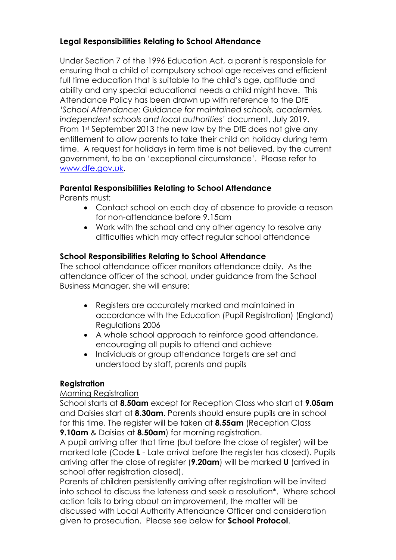# **Legal Responsibilities Relating to School Attendance**

Under Section 7 of the 1996 Education Act, a parent is responsible for ensuring that a child of compulsory school age receives and efficient full time education that is suitable to the child's age, aptitude and ability and any special educational needs a child might have. This Attendance Policy has been drawn up with reference to the DfE *'School Attendance: Guidance for maintained schools, academies, independent schools and local authorities'* document, July 2019. From 1st September 2013 the new law by the DfE does not give any entitlement to allow parents to take their child on holiday during term time. A request for holidays in term time is not believed, by the current government, to be an 'exceptional circumstance'. Please refer to [www.dfe.gov.uk.](http://www.dfe.gov.uk/)

# **Parental Responsibilities Relating to School Attendance**

Parents must:

- Contact school on each day of absence to provide a reason for non-attendance before 9.15am
- Work with the school and any other agency to resolve any difficulties which may affect regular school attendance

# **School Responsibilities Relating to School Attendance**

The school attendance officer monitors attendance daily. As the attendance officer of the school, under guidance from the School Business Manager, she will ensure:

- Registers are accurately marked and maintained in accordance with the Education (Pupil Registration) (England) Regulations 2006
- A whole school approach to reinforce good attendance, encouraging all pupils to attend and achieve
- Individuals or group attendance targets are set and understood by staff, parents and pupils

#### **Registration**

#### Morning Registration

School starts at **8.50am** except for Reception Class who start at **9.05am** and Daisies start at **8.30am**. Parents should ensure pupils are in school for this time. The register will be taken at **8.55am** (Reception Class **9.10am** & Daisies at **8.50am**) for morning registration.

A pupil arriving after that time (but before the close of register) will be marked late (Code **L** - Late arrival before the register has closed). Pupils arriving after the close of register (**9.20am**) will be marked **U** (arrived in school after registration closed).

Parents of children persistently arriving after registration will be invited into school to discuss the lateness and seek a resolution\*. Where school action fails to bring about an improvement, the matter will be discussed with Local Authority Attendance Officer and consideration given to prosecution. Please see below for **School Protocol**.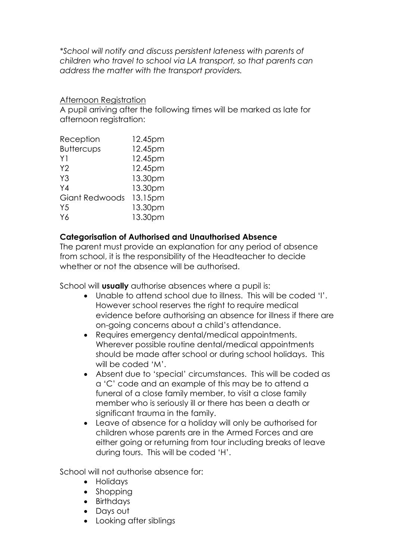*\*School will notify and discuss persistent lateness with parents of children who travel to school via LA transport, so that parents can address the matter with the transport providers.*

#### Afternoon Registration

A pupil arriving after the following times will be marked as late for afternoon registration:

| 12.45pm |
|---------|
| 12.45pm |
| 12.45pm |
| 12.45pm |
| 13.30pm |
| 13.30pm |
| 13.15pm |
| 13.30pm |
| 13.30pm |
|         |

# **Categorisation of Authorised and Unauthorised Absence**

The parent must provide an explanation for any period of absence from school, it is the responsibility of the Headteacher to decide whether or not the absence will be authorised.

School will **usually** authorise absences where a pupil is:

- Unable to attend school due to illness. This will be coded 'I'. However school reserves the right to require medical evidence before authorising an absence for illness if there are on-going concerns about a child's attendance.
- Requires emergency dental/medical appointments. Wherever possible routine dental/medical appointments should be made after school or during school holidays. This will be coded 'M'.
- Absent due to 'special' circumstances. This will be coded as a 'C' code and an example of this may be to attend a funeral of a close family member, to visit a close family member who is seriously ill or there has been a death or significant trauma in the family.
- Leave of absence for a holiday will only be authorised for children whose parents are in the Armed Forces and are either going or returning from tour including breaks of leave during tours. This will be coded 'H'.

School will not authorise absence for:

- Holidays
- Shopping
- Birthdays
- Days out
- Looking after siblings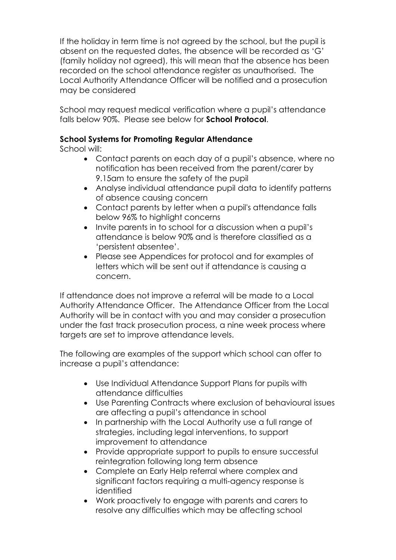If the holiday in term time is not agreed by the school, but the pupil is absent on the requested dates, the absence will be recorded as 'G' (family holiday not agreed), this will mean that the absence has been recorded on the school attendance register as unauthorised. The Local Authority Attendance Officer will be notified and a prosecution may be considered

School may request medical verification where a pupil's attendance falls below 90%. Please see below for **School Protocol**.

# **School Systems for Promoting Regular Attendance**

School will:

- Contact parents on each day of a pupil's absence, where no notification has been received from the parent/carer by 9.15am to ensure the safety of the pupil
- Analyse individual attendance pupil data to identify patterns of absence causing concern
- Contact parents by letter when a pupil's attendance falls below 96% to highlight concerns
- Invite parents in to school for a discussion when a pupil's attendance is below 90% and is therefore classified as a 'persistent absentee'.
- Please see Appendices for protocol and for examples of letters which will be sent out if attendance is causing a concern.

If attendance does not improve a referral will be made to a Local Authority Attendance Officer. The Attendance Officer from the Local Authority will be in contact with you and may consider a prosecution under the fast track prosecution process, a nine week process where targets are set to improve attendance levels.

The following are examples of the support which school can offer to increase a pupil's attendance:

- Use Individual Attendance Support Plans for pupils with attendance difficulties
- Use Parenting Contracts where exclusion of behavioural issues are affecting a pupil's attendance in school
- In partnership with the Local Authority use a full range of strategies, including legal interventions, to support improvement to attendance
- Provide appropriate support to pupils to ensure successful reintegration following long term absence
- Complete an Early Help referral where complex and significant factors requiring a multi-agency response is identified
- Work proactively to engage with parents and carers to resolve any difficulties which may be affecting school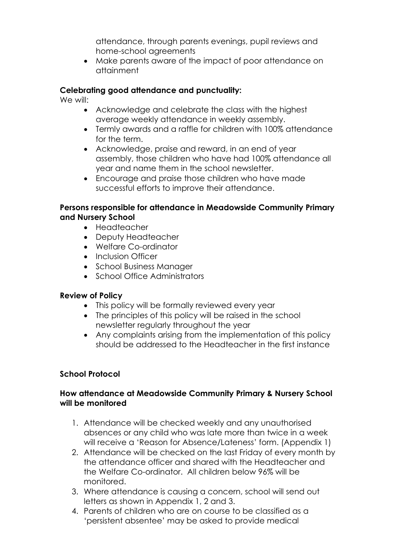attendance, through parents evenings, pupil reviews and home-school agreements

 Make parents aware of the impact of poor attendance on attainment

# **Celebrating good attendance and punctuality:**

We will:

- Acknowledge and celebrate the class with the highest average weekly attendance in weekly assembly.
- Termly awards and a raffle for children with 100% attendance for the term.
- Acknowledge, praise and reward, in an end of year assembly, those children who have had 100% attendance all year and name them in the school newsletter.
- Encourage and praise those children who have made successful efforts to improve their attendance.

#### **Persons responsible for attendance in Meadowside Community Primary and Nursery School**

- Headteacher
- Deputy Headteacher
- Welfare Co-ordinator
- Inclusion Officer
- School Business Manager
- School Office Administrators

#### **Review of Policy**

- This policy will be formally reviewed every year
- The principles of this policy will be raised in the school newsletter regularly throughout the year
- Any complaints arising from the implementation of this policy should be addressed to the Headteacher in the first instance

#### **School Protocol**

#### **How attendance at Meadowside Community Primary & Nursery School will be monitored**

- 1. Attendance will be checked weekly and any unauthorised absences or any child who was late more than twice in a week will receive a 'Reason for Absence/Lateness' form. (Appendix 1)
- 2. Attendance will be checked on the last Friday of every month by the attendance officer and shared with the Headteacher and the Welfare Co-ordinator. All children below 96% will be monitored.
- 3. Where attendance is causing a concern, school will send out letters as shown in Appendix 1, 2 and 3.
- 4. Parents of children who are on course to be classified as a 'persistent absentee' may be asked to provide medical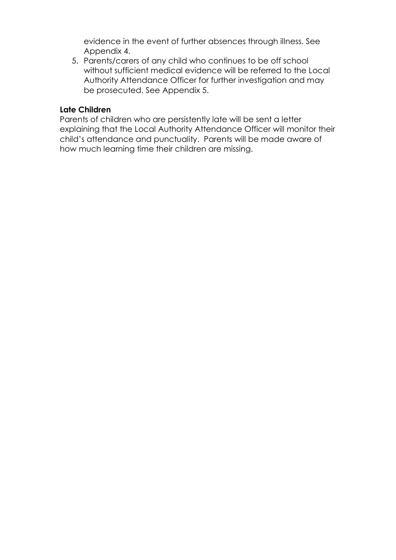evidence in the event of further absences through illness. See Appendix 4.

5. Parents/carers of any child who continues to be off school without sufficient medical evidence will be referred to the Local Authority Attendance Officer for further investigation and may be prosecuted. See Appendix 5.

#### **Late Children**

Parents of children who are persistently late will be sent a letter explaining that the Local Authority Attendance Officer will monitor their child's attendance and punctuality. Parents will be made aware of how much learning time their children are missing.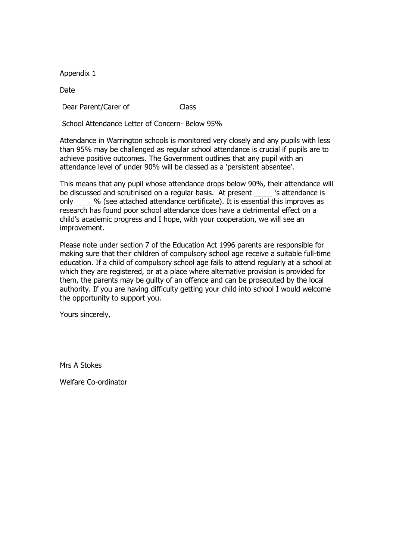Date

Dear Parent/Carer of Class

School Attendance Letter of Concern- Below 95%

Attendance in Warrington schools is monitored very closely and any pupils with less than 95% may be challenged as regular school attendance is crucial if pupils are to achieve positive outcomes. The Government outlines that any pupil with an attendance level of under 90% will be classed as a 'persistent absentee'.

This means that any pupil whose attendance drops below 90%, their attendance will be discussed and scrutinised on a regular basis. At present 's attendance is only % (see attached attendance certificate). It is essential this improves as research has found poor school attendance does have a detrimental effect on a child's academic progress and I hope, with your cooperation, we will see an improvement.

Please note under section 7 of the Education Act 1996 parents are responsible for making sure that their children of compulsory school age receive a suitable full-time education. If a child of compulsory school age fails to attend regularly at a school at which they are registered, or at a place where alternative provision is provided for them, the parents may be guilty of an offence and can be prosecuted by the local authority. If you are having difficulty getting your child into school I would welcome the opportunity to support you.

Yours sincerely,

Mrs A Stokes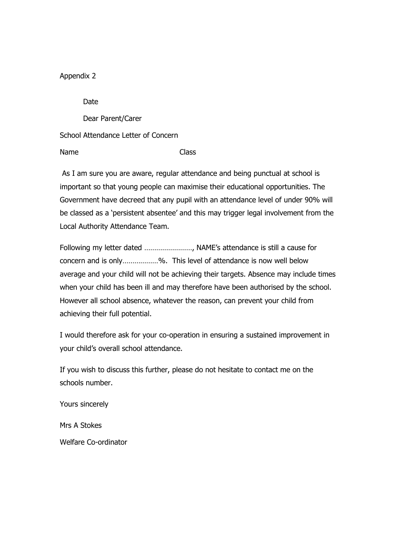Date

Dear Parent/Carer

School Attendance Letter of Concern

Name Class

As I am sure you are aware, regular attendance and being punctual at school is important so that young people can maximise their educational opportunities. The Government have decreed that any pupil with an attendance level of under 90% will be classed as a 'persistent absentee' and this may trigger legal involvement from the Local Authority Attendance Team.

Following my letter dated ……………………, NAME's attendance is still a cause for concern and is only………………%. This level of attendance is now well below average and your child will not be achieving their targets. Absence may include times when your child has been ill and may therefore have been authorised by the school. However all school absence, whatever the reason, can prevent your child from achieving their full potential.

I would therefore ask for your co-operation in ensuring a sustained improvement in your child's overall school attendance.

If you wish to discuss this further, please do not hesitate to contact me on the schools number.

Yours sincerely

Mrs A Stokes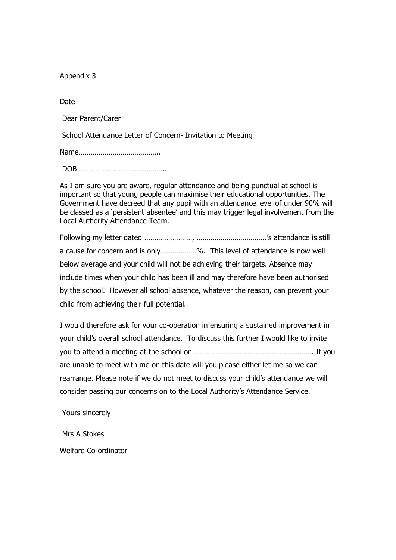Date

Dear Parent/Carer

School Attendance Letter of Concern- Invitation to Meeting

Name…………………………………..

DOB ……………………………………..

As I am sure you are aware, regular attendance and being punctual at school is important so that young people can maximise their educational opportunities. The Government have decreed that any pupil with an attendance level of under 90% will be classed as a 'persistent absentee' and this may trigger legal involvement from the Local Authority Attendance Team.

Following my letter dated ……………………, ……………………………..'s attendance is still a cause for concern and is only………………%. This level of attendance is now well below average and your child will not be achieving their targets. Absence may include times when your child has been ill and may therefore have been authorised by the school. However all school absence, whatever the reason, can prevent your child from achieving their full potential.

I would therefore ask for your co-operation in ensuring a sustained improvement in your child's overall school attendance. To discuss this further I would like to invite you to attend a meeting at the school on……………………………………………………. If you are unable to meet with me on this date will you please either let me so we can rearrange. Please note if we do not meet to discuss your child's attendance we will consider passing our concerns on to the Local Authority's Attendance Service.

Yours sincerely

Mrs A Stokes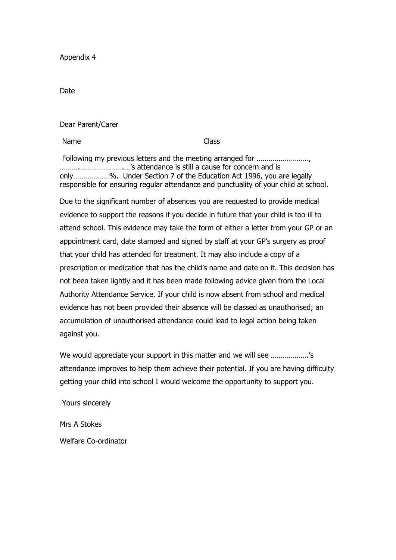Date

Dear Parent/Carer

Name Class

Following my previous letters and the meeting arranged for ............................ ……….………………….…'s attendance is still a cause for concern and is only………………%. Under Section 7 of the Education Act 1996, you are legally responsible for ensuring regular attendance and punctuality of your child at school.

Due to the significant number of absences you are requested to provide medical evidence to support the reasons if you decide in future that your child is too ill to attend school. This evidence may take the form of either a letter from your GP or an appointment card, date stamped and signed by staff at your GP's surgery as proof that your child has attended for treatment. It may also include a copy of a prescription or medication that has the child's name and date on it. This decision has not been taken lightly and it has been made following advice given from the Local Authority Attendance Service. If your child is now absent from school and medical evidence has not been provided their absence will be classed as unauthorised; an accumulation of unauthorised attendance could lead to legal action being taken against you.

We would appreciate your support in this matter and we will see ……………….'s attendance improves to help them achieve their potential. If you are having difficulty getting your child into school I would welcome the opportunity to support you.

Yours sincerely

Mrs A Stokes Welfare Co-ordinator